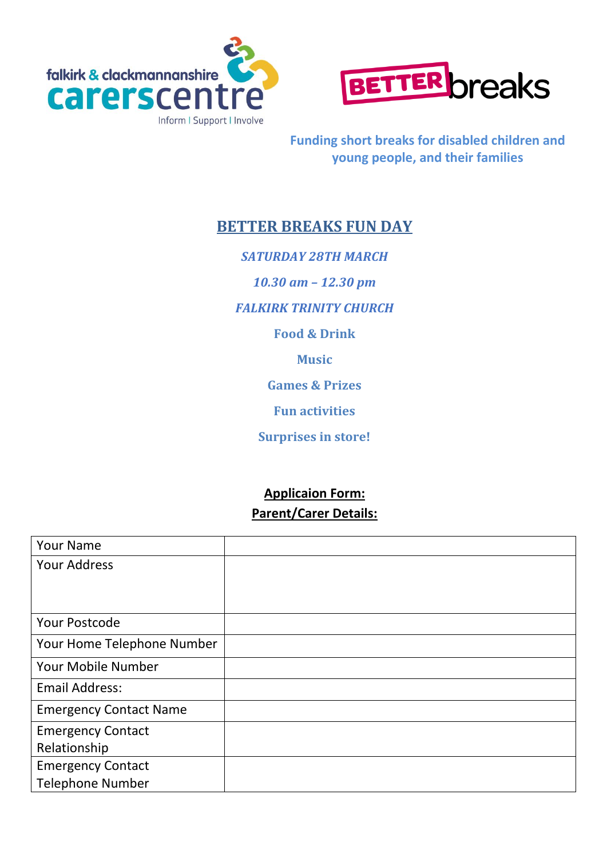



**Funding short breaks for disabled children and young people, and their families**

# **BETTER BREAKS FUN DAY**

*SATURDAY 28TH MARCH 10.30 am – 12.30 pm FALKIRK TRINITY CHURCH* **Food & Drink Music Games & Prizes Fun activities**

**Surprises in store!**

## **Applicaion Form: Parent/Carer Details:**

| <b>Your Name</b>              |  |
|-------------------------------|--|
| <b>Your Address</b>           |  |
|                               |  |
|                               |  |
| <b>Your Postcode</b>          |  |
| Your Home Telephone Number    |  |
| Your Mobile Number            |  |
| <b>Email Address:</b>         |  |
| <b>Emergency Contact Name</b> |  |
| <b>Emergency Contact</b>      |  |
| Relationship                  |  |
| <b>Emergency Contact</b>      |  |
| <b>Telephone Number</b>       |  |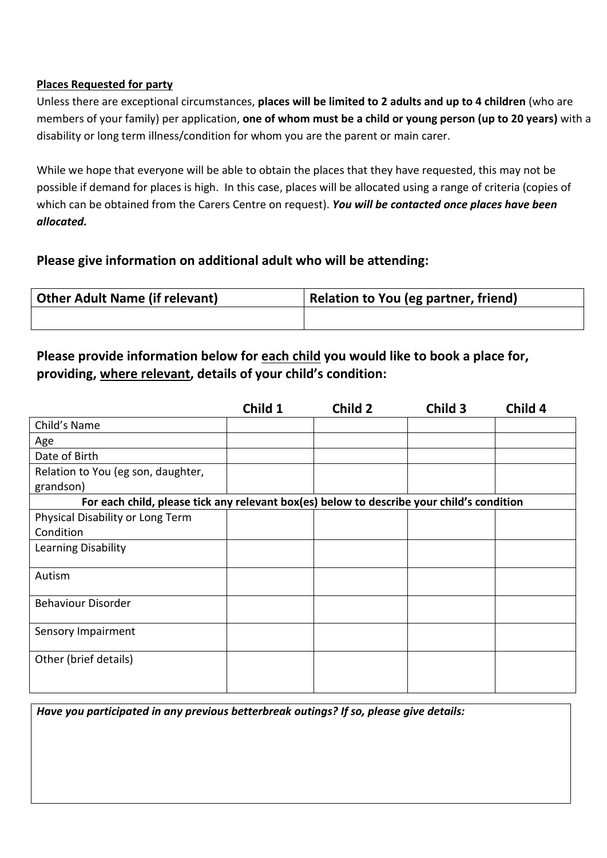#### **Places Requested for party**

Unless there are exceptional circumstances, **places will be limited to 2 adults and up to 4 children** (who are members of your family) per application, **one of whom must be a child or young person (up to 20 years)** with a disability or long term illness/condition for whom you are the parent or main carer.

While we hope that everyone will be able to obtain the places that they have requested, this may not be possible if demand for places is high. In this case, places will be allocated using a range of criteria (copies of which can be obtained from the Carers Centre on request). *You will be contacted once places have been allocated.*

### **Please give information on additional adult who will be attending:**

| <b>Other Adult Name (if relevant)</b> | Relation to You (eg partner, friend) |  |  |
|---------------------------------------|--------------------------------------|--|--|
|                                       |                                      |  |  |

## **Please provide information below for each child you would like to book a place for, providing, where relevant, details of your child's condition:**

|                                                                                           | Child 1 | Child 2 | Child 3 | Child 4 |  |  |
|-------------------------------------------------------------------------------------------|---------|---------|---------|---------|--|--|
| Child's Name                                                                              |         |         |         |         |  |  |
| Age                                                                                       |         |         |         |         |  |  |
| Date of Birth                                                                             |         |         |         |         |  |  |
| Relation to You (eg son, daughter,                                                        |         |         |         |         |  |  |
| grandson)                                                                                 |         |         |         |         |  |  |
| For each child, please tick any relevant box(es) below to describe your child's condition |         |         |         |         |  |  |
| Physical Disability or Long Term                                                          |         |         |         |         |  |  |
| Condition                                                                                 |         |         |         |         |  |  |
| Learning Disability                                                                       |         |         |         |         |  |  |
|                                                                                           |         |         |         |         |  |  |
| Autism                                                                                    |         |         |         |         |  |  |
|                                                                                           |         |         |         |         |  |  |
| <b>Behaviour Disorder</b>                                                                 |         |         |         |         |  |  |
| Sensory Impairment                                                                        |         |         |         |         |  |  |
|                                                                                           |         |         |         |         |  |  |
| Other (brief details)                                                                     |         |         |         |         |  |  |
|                                                                                           |         |         |         |         |  |  |
|                                                                                           |         |         |         |         |  |  |

*Have you participated in any previous betterbreak outings? If so, please give details:*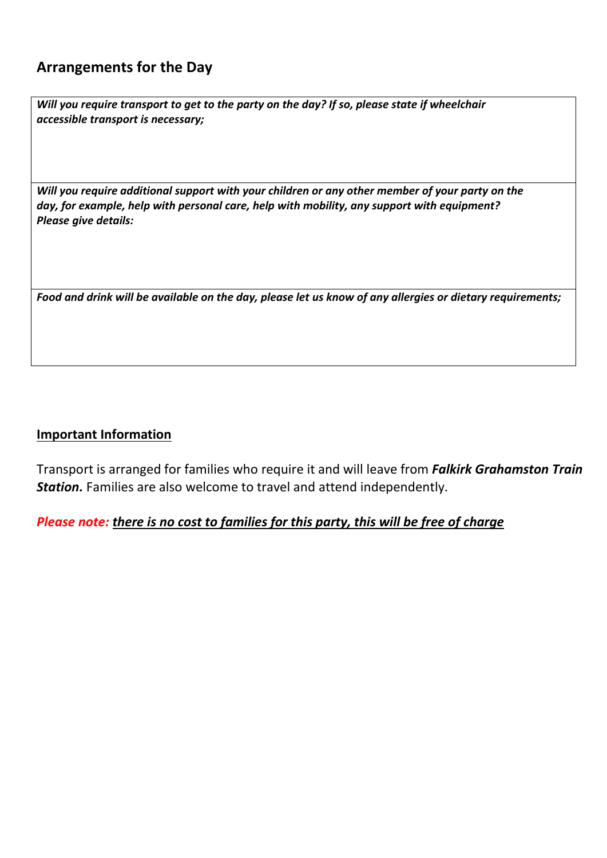## **Arrangements for the Day**

*Will you require transport to get to the party on the day? If so, please state if wheelchair accessible transport is necessary;*

*Will you require additional support with your children or any other member of your party on the day, for example, help with personal care, help with mobility, any support with equipment? Please give details:*

*Food and drink will be available on the day, please let us know of any allergies or dietary requirements;*

### **Important Information**

Transport is arranged for families who require it and will leave from *Falkirk Grahamston Train Station.* Families are also welcome to travel and attend independently.

### *Please note: there is no cost to families for this party, this will be free of charge*